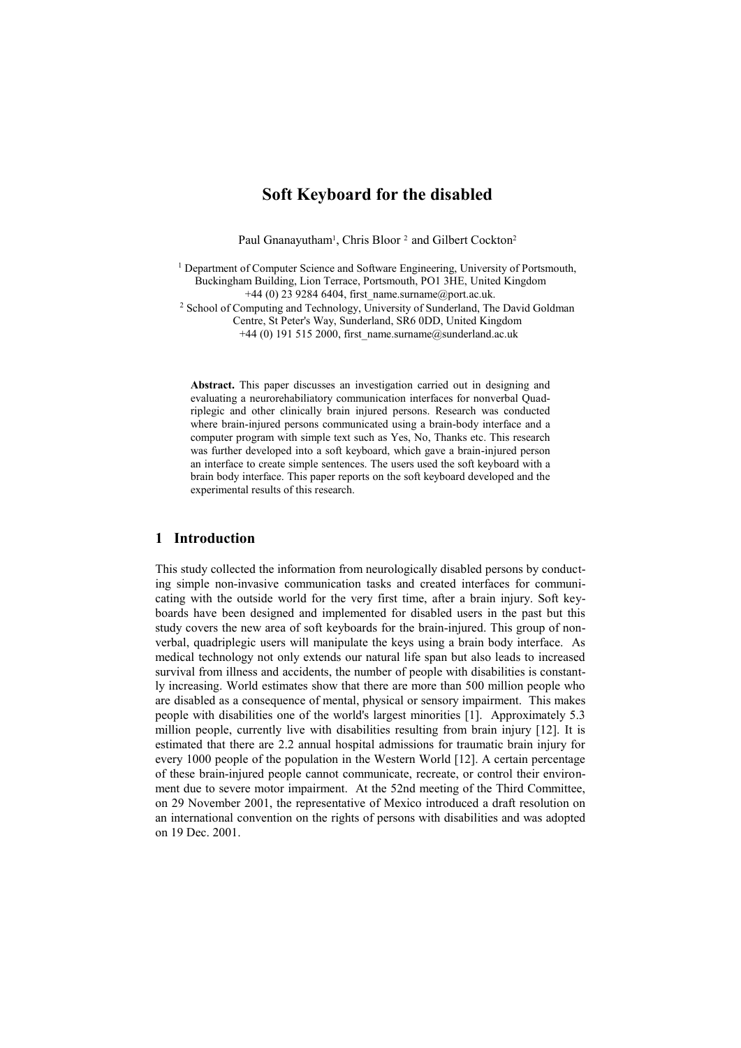# **Soft Keyboard for the disabled**

Paul Gnanayutham<sup>1</sup>, Chris Bloor<sup>2</sup> and Gilbert Cockton<sup>2</sup>

<sup>1</sup> Department of Computer Science and Software Engineering, University of Portsmouth, Buckingham Building, Lion Terrace, Portsmouth, PO1 3HE, United Kingdom

+44 (0) 23 9284 6404, first\_name.surname@port.ac.uk.

<sup>2</sup> School of Computing and Technology, University of Sunderland, The David Goldman

Centre, St Peter's Way, Sunderland, SR6 0DD, United Kingdom +44 (0) 191 515 2000, first\_name.surname@sunderland.ac.uk

**Abstract.** This paper discusses an investigation carried out in designing and evaluating a neurorehabiliatory communication interfaces for nonverbal Quadriplegic and other clinically brain injured persons. Research was conducted where brain-injured persons communicated using a brain-body interface and a computer program with simple text such as Yes, No, Thanks etc. This research was further developed into a soft keyboard, which gave a brain-injured person an interface to create simple sentences. The users used the soft keyboard with a brain body interface. This paper reports on the soft keyboard developed and the experimental results of this research.

## **1 Introduction**

This study collected the information from neurologically disabled persons by conducting simple non-invasive communication tasks and created interfaces for communicating with the outside world for the very first time, after a brain injury. Soft keyboards have been designed and implemented for disabled users in the past but this study covers the new area of soft keyboards for the brain-injured. This group of nonverbal, quadriplegic users will manipulate the keys using a brain body interface. As medical technology not only extends our natural life span but also leads to increased survival from illness and accidents, the number of people with disabilities is constantly increasing. World estimates show that there are more than 500 million people who are disabled as a consequence of mental, physical or sensory impairment. This makes people with disabilities one of the world's largest minorities [1]. Approximately 5.3 million people, currently live with disabilities resulting from brain injury [12]. It is estimated that there are 2.2 annual hospital admissions for traumatic brain injury for every 1000 people of the population in the Western World [12]. A certain percentage of these brain-injured people cannot communicate, recreate, or control their environment due to severe motor impairment. At the 52nd meeting of the Third Committee, on 29 November 2001, the representative of Mexico introduced a draft resolution on an international convention on the rights of persons with disabilities and was adopted on 19 Dec. 2001.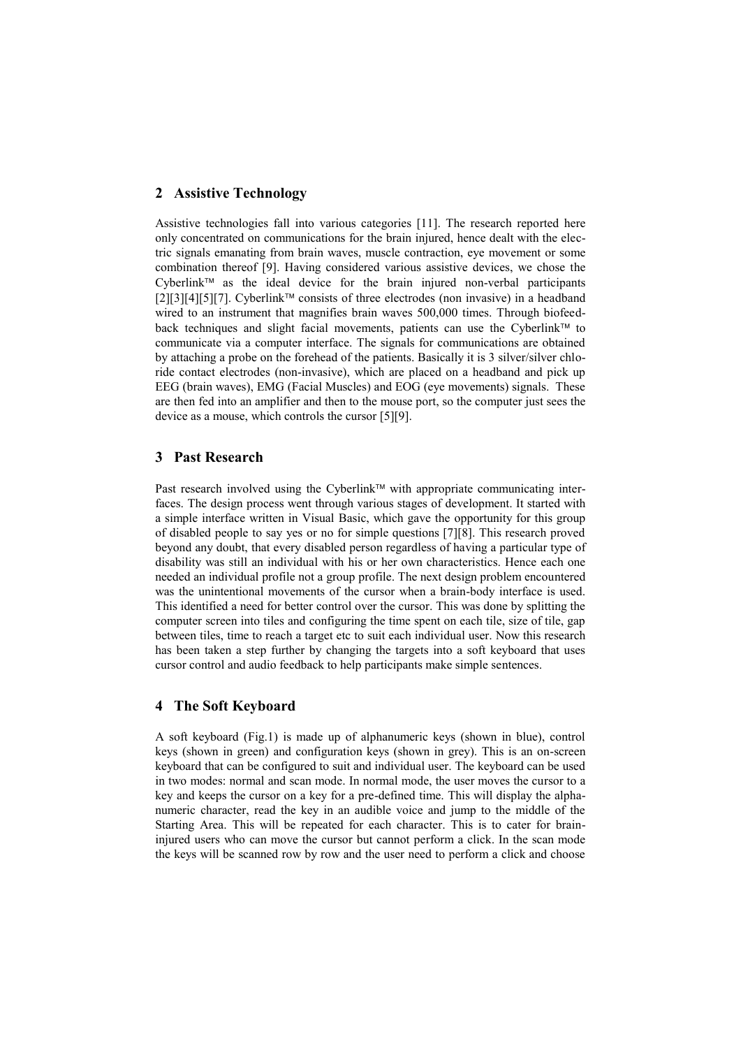## **2 Assistive Technology**

Assistive technologies fall into various categories [11]. The research reported here only concentrated on communications for the brain injured, hence dealt with the electric signals emanating from brain waves, muscle contraction, eye movement or some combination thereof [9]. Having considered various assistive devices, we chose the  $C$ yberlink<sup> $M$ </sup> as the ideal device for the brain injured non-verbal participants  $[2][3][4][5][7]$ . Cyberlink<sup>™</sup> consists of three electrodes (non invasive) in a headband wired to an instrument that magnifies brain waves 500,000 times. Through biofeedback techniques and slight facial movements, patients can use the Cyberlink<sup>TM</sup> to communicate via a computer interface. The signals for communications are obtained by attaching a probe on the forehead of the patients. Basically it is 3 silver/silver chloride contact electrodes (non-invasive), which are placed on a headband and pick up EEG (brain waves), EMG (Facial Muscles) and EOG (eye movements) signals. These are then fed into an amplifier and then to the mouse port, so the computer just sees the device as a mouse, which controls the cursor [5][9].

## **3 Past Research**

Past research involved using the Cyberlink<sup> $TM$ </sup> with appropriate communicating interfaces. The design process went through various stages of development. It started with a simple interface written in Visual Basic, which gave the opportunity for this group of disabled people to say yes or no for simple questions [7][8]. This research proved beyond any doubt, that every disabled person regardless of having a particular type of disability was still an individual with his or her own characteristics. Hence each one needed an individual profile not a group profile. The next design problem encountered was the unintentional movements of the cursor when a brain-body interface is used. This identified a need for better control over the cursor. This was done by splitting the computer screen into tiles and configuring the time spent on each tile, size of tile, gap between tiles, time to reach a target etc to suit each individual user. Now this research has been taken a step further by changing the targets into a soft keyboard that uses cursor control and audio feedback to help participants make simple sentences.

## **4 The Soft Keyboard**

A soft keyboard (Fig.1) is made up of alphanumeric keys (shown in blue), control keys (shown in green) and configuration keys (shown in grey). This is an on-screen keyboard that can be configured to suit and individual user. The keyboard can be used in two modes: normal and scan mode. In normal mode, the user moves the cursor to a key and keeps the cursor on a key for a pre-defined time. This will display the alphanumeric character, read the key in an audible voice and jump to the middle of the Starting Area. This will be repeated for each character. This is to cater for braininjured users who can move the cursor but cannot perform a click. In the scan mode the keys will be scanned row by row and the user need to perform a click and choose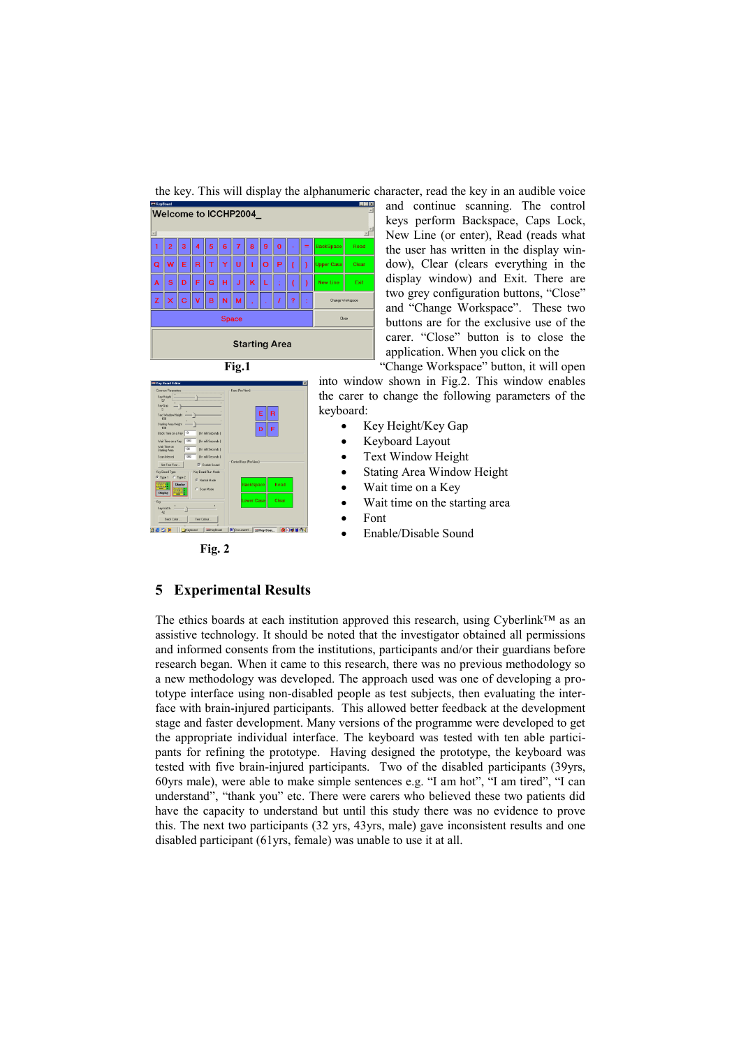the key. This will display the alphanumeric character, read the key in an audible voice





**Fig. 2**

and continue scanning. The control keys perform Backspace, Caps Lock, New Line (or enter), Read (reads what the user has written in the display window), Clear (clears everything in the display window) and Exit. There are two grey configuration buttons, "Close" and "Change Workspace". These two buttons are for the exclusive use of the carer. "Close" button is to close the application. When you click on the

**Fig.1** "Change Workspace" button, it will open into window shown in Fig.2. This window enables the carer to change the following parameters of the keyboard:

- Key Height/Key Gap
- Keyboard Layout
- Text Window Height
- Stating Area Window Height
- Wait time on a Key
- Wait time on the starting area
- Font
- Enable/Disable Sound

### **5 Experimental Results**

The ethics boards at each institution approved this research, using Cyberlink™ as an assistive technology. It should be noted that the investigator obtained all permissions and informed consents from the institutions, participants and/or their guardians before research began. When it came to this research, there was no previous methodology so a new methodology was developed. The approach used was one of developing a prototype interface using non-disabled people as test subjects, then evaluating the interface with brain-injured participants. This allowed better feedback at the development stage and faster development. Many versions of the programme were developed to get the appropriate individual interface. The keyboard was tested with ten able participants for refining the prototype. Having designed the prototype, the keyboard was tested with five brain-injured participants. Two of the disabled participants (39yrs, 60yrs male), were able to make simple sentences e.g. "I am hot", "I am tired", "I can understand", "thank you" etc. There were carers who believed these two patients did have the capacity to understand but until this study there was no evidence to prove this. The next two participants (32 yrs, 43yrs, male) gave inconsistent results and one disabled participant (61yrs, female) was unable to use it at all.